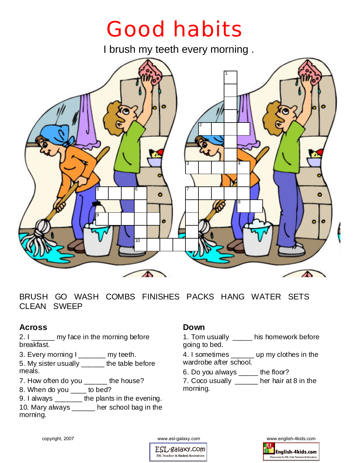# Good habits

I brush my teeth every morning .



BRUSH GO WASH COMBS FINISHES PACKS HANG WATER SETS CLEAN SWEEP

## **Across**

2. I \_\_\_\_\_\_ my face in the morning before breakfast.

3. Every morning I \_\_\_\_\_\_\_ my teeth.

5. My sister usually \_\_\_\_\_\_ the table before meals.

7. How often do you \_\_\_\_\_ the house?

8. When do you \_\_\_\_ to bed?

9. I always \_\_\_\_\_\_\_ the plants in the evening.

10. Mary always \_\_\_\_\_\_ her school bag in the morning.

## **Down**

1. Tom usually \_\_\_\_\_ his homework before going to bed.

4. I sometimes \_\_\_\_\_\_ up my clothes in the wardrobe after school.

6. Do you always \_\_\_\_\_ the floor?

7. Coco usually \_\_\_\_\_\_ her hair at 8 in the morning.